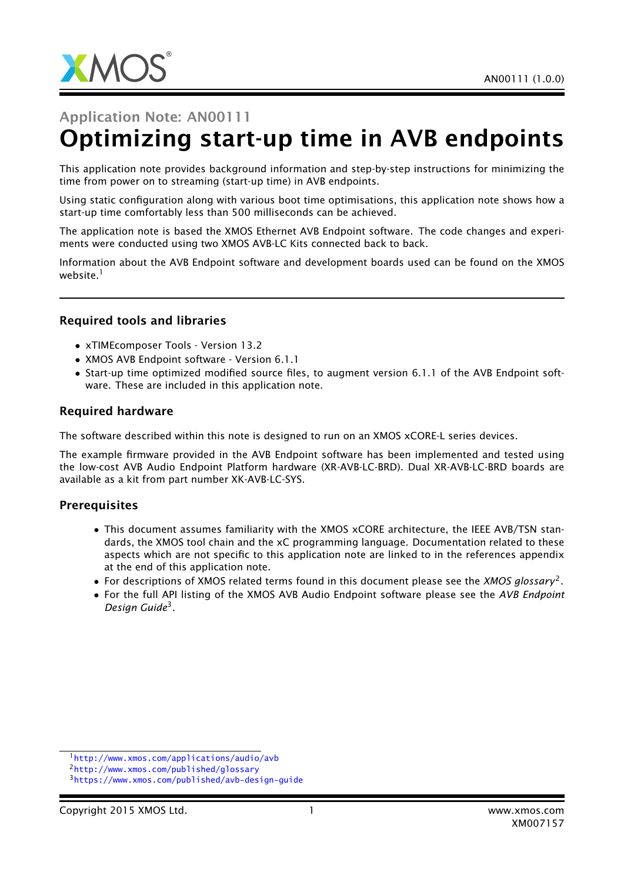

# Application Note: AN00111 Optimizing start-up time in AVB endpoints

This application note provides background information and step-by-step instructions for minimizing the time from power on to streaming (start-up time) in AVB endpoints.

Using static configuration along with various boot time optimisations, this application note shows how a start-up time comfortably less than 500 milliseconds can be achieved.

The application note is based the XMOS Ethernet AVB Endpoint software. The code changes and experiments were conducted using two XMOS AVB-LC Kits connected back to back.

Information about the AVB Endpoint software and development boards used can be found on the XMOS website.<sup>1</sup>

#### Required tools and libraries

- xTIMEcomposer Tools Version 13.2
- XMOS AVB Endpoint software Version 6.1.1
- Start-up time optimized modified source files, to augment version 6.1.1 of the AVB Endpoint software. These are included in this application note.

#### Required hardware

The software described within this note is designed to run on an XMOS xCORE-L series devices.

The example firmware provided in the AVB Endpoint software has been implemented and tested using the low-cost AVB Audio Endpoint Platform hardware (XR-AVB-LC-BRD). Dual XR-AVB-LC-BRD boards are available as a kit from part number XK-AVB-LC-SYS.

#### **Prerequisites**

- This document assumes familiarity with the XMOS xCORE architecture, the IEEE AVB/TSN standards, the XMOS tool chain and the xC programming language. Documentation related to these aspects which are not specific to this application note are linked to in the references appendix at the end of this application note.
- For descriptions of XMOS related terms found in this document please see the *XMOS glossary*<sup>2</sup> .
- For the full API listing of the XMOS AVB Audio Endpoint software please see the *AVB Endpoint Design Guide*<sup>3</sup> .

<sup>1</sup><http://www.xmos.com/applications/audio/avb>

<sup>2</sup><http://www.xmos.com/published/glossary>

<sup>3</sup><https://www.xmos.com/published/avb-design-guide>